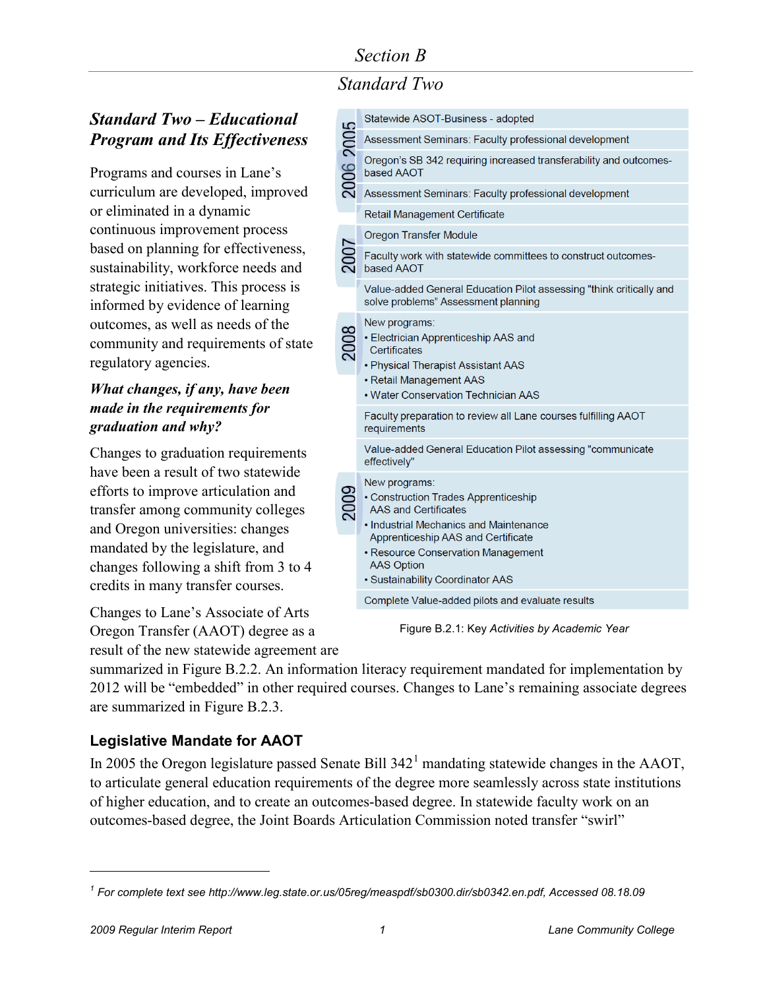# *Standard Two*

## *Standard Two – Educational Program and Its Effectiveness*

Programs and courses in Lane's curriculum are developed, improved or eliminated in a dynamic continuous improvement process based on planning for effectiveness, sustainability, workforce needs and strategic initiatives. This process is informed by evidence of learning outcomes, as well as needs of the community and requirements of state regulatory agencies.

#### *What changes, if any, have been made in the requirements for graduation and why?*

Changes to graduation requirements have been a result of two statewide efforts to improve articulation and transfer among community colleges and Oregon universities: changes mandated by the legislature, and changes following a shift from 3 to 4 credits in many transfer courses.

Changes to Lane's Associate of Arts Oregon Transfer (AAOT) degree as a result of the new statewide agreement are

|           | Statewide ASOT-Business - adopted                                                                                                                                                                                                                                   |
|-----------|---------------------------------------------------------------------------------------------------------------------------------------------------------------------------------------------------------------------------------------------------------------------|
| 2006 2005 | Assessment Seminars: Faculty professional development                                                                                                                                                                                                               |
|           | Oregon's SB 342 requiring increased transferability and outcomes-<br>based AAOT                                                                                                                                                                                     |
|           | Assessment Seminars: Faculty professional development                                                                                                                                                                                                               |
|           | Retail Management Certificate                                                                                                                                                                                                                                       |
|           | Oregon Transfer Module                                                                                                                                                                                                                                              |
| 2007      | Faculty work with statewide committees to construct outcomes-<br>based AAOT                                                                                                                                                                                         |
|           | Value-added General Education Pilot assessing "think critically and<br>solve problems" Assessment planning                                                                                                                                                          |
|           | New programs:<br>• Electrician Apprenticeship AAS and<br>Certificates<br>• Physical Therapist Assistant AAS<br>• Retail Management AAS<br>• Water Conservation Technician AAS                                                                                       |
|           | Faculty preparation to review all Lane courses fulfilling AAOT<br>requirements                                                                                                                                                                                      |
|           | Value-added General Education Pilot assessing "communicate<br>effectively"                                                                                                                                                                                          |
|           | New programs:<br>• Construction Trades Apprenticeship<br><b>AAS and Certificates</b><br>• Industrial Mechanics and Maintenance<br>Apprenticeship AAS and Certificate<br>• Resource Conservation Management<br><b>AAS Option</b><br>• Sustainability Coordinator AAS |
|           | Complete Value-added pilots and evaluate results                                                                                                                                                                                                                    |
|           |                                                                                                                                                                                                                                                                     |

Figure B.2.1: Key *Activities by Academic Year*

summarized in Figure B.2.2. An information literacy requirement mandated for implementation by 2012 will be "embedded" in other required courses. Changes to Lane's remaining associate degrees are summarized in Figure B.2.3.

### **Legislative Mandate for AAOT**

In 2005 the Oregon legislature passed Senate Bill  $342<sup>1</sup>$  $342<sup>1</sup>$  $342<sup>1</sup>$  mandating statewide changes in the AAOT, to articulate general education requirements of the degree more seamlessly across state institutions of higher education, and to create an outcomes-based degree. In statewide faculty work on an outcomes-based degree, the Joint Boards Articulation Commission noted transfer "swirl"

<span id="page-0-0"></span>*<sup>1</sup> For complete text see [http://www.leg.state.or.us/05reg/measpdf/sb0300.dir/sb0342.en.pdf,](http://www.leg.state.or.us/05reg/measpdf/sb0300.dir/sb0342.en.pdf) Accessed 08.18.09*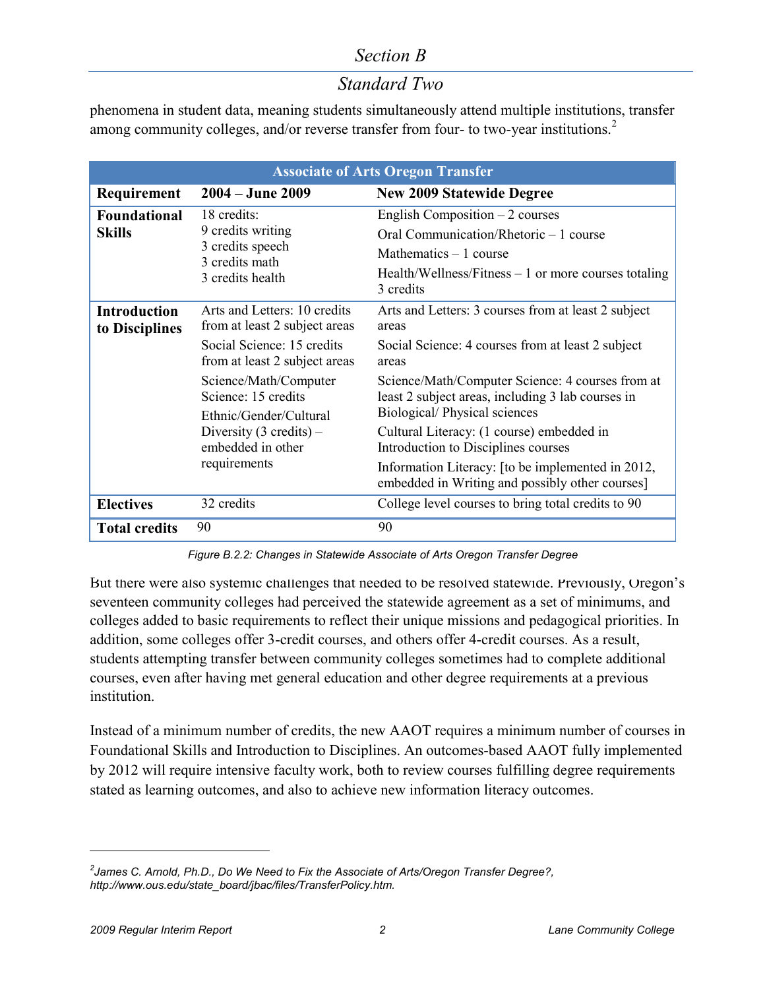## *Standard Two*

phenomena in student data, meaning students simultaneously attend multiple institutions, transfer among community colleges, and/or reverse transfer from four- to two-year institutions.<sup>[2](#page-1-0)</sup>

| <b>Associate of Arts Oregon Transfer</b> |                                                                                                                                                  |                                                                                                                                                                |  |  |  |  |
|------------------------------------------|--------------------------------------------------------------------------------------------------------------------------------------------------|----------------------------------------------------------------------------------------------------------------------------------------------------------------|--|--|--|--|
| Requirement                              | $2004 - June 2009$                                                                                                                               | <b>New 2009 Statewide Degree</b>                                                                                                                               |  |  |  |  |
| <b>Foundational</b><br><b>Skills</b>     | 18 credits:<br>9 credits writing<br>3 credits speech<br>3 credits math<br>3 credits health                                                       | English Composition $-2$ courses<br>Oral Communication/Rhetoric – 1 course<br>Mathematics $-1$ course<br>Health/Wellness/Fitness $-1$ or more courses totaling |  |  |  |  |
|                                          |                                                                                                                                                  | 3 credits                                                                                                                                                      |  |  |  |  |
| <b>Introduction</b><br>to Disciplines    | Arts and Letters: 10 credits<br>from at least 2 subject areas                                                                                    | Arts and Letters: 3 courses from at least 2 subject<br>areas                                                                                                   |  |  |  |  |
|                                          | Social Science: 15 credits<br>from at least 2 subject areas                                                                                      | Social Science: 4 courses from at least 2 subject<br>areas                                                                                                     |  |  |  |  |
|                                          | Science/Math/Computer<br>Science: 15 credits<br>Ethnic/Gender/Cultural<br>Diversity $(3 \text{ credits}) -$<br>embedded in other<br>requirements | Science/Math/Computer Science: 4 courses from at<br>least 2 subject areas, including 3 lab courses in<br>Biological/Physical sciences                          |  |  |  |  |
|                                          |                                                                                                                                                  | Cultural Literacy: (1 course) embedded in<br>Introduction to Disciplines courses                                                                               |  |  |  |  |
|                                          |                                                                                                                                                  | Information Literacy: [to be implemented in 2012,<br>embedded in Writing and possibly other courses]                                                           |  |  |  |  |
| <b>Electives</b>                         | 32 credits                                                                                                                                       | College level courses to bring total credits to 90                                                                                                             |  |  |  |  |
| <b>Total credits</b>                     | 90                                                                                                                                               | 90                                                                                                                                                             |  |  |  |  |

*Figure B.2.2: Changes in Statewide Associate of Arts Oregon Transfer Degree*

But there were also systemic challenges that needed to be resolved statewide. Previously, Oregon's seventeen community colleges had perceived the statewide agreement as a set of minimums, and colleges added to basic requirements to reflect their unique missions and pedagogical priorities. In addition, some colleges offer 3-credit courses, and others offer 4-credit courses. As a result, students attempting transfer between community colleges sometimes had to complete additional courses, even after having met general education and other degree requirements at a previous institution.

Instead of a minimum number of credits, the new AAOT requires a minimum number of courses in Foundational Skills and Introduction to Disciplines. An outcomes-based AAOT fully implemented by 2012 will require intensive faculty work, both to review courses fulfilling degree requirements stated as learning outcomes, and also to achieve new information literacy outcomes.

<span id="page-1-0"></span>*<sup>2</sup> James C. Arnold, Ph.D., Do We Need to Fix the Associate of Arts/Oregon Transfer Degree?, [http://www.ous.edu/state\\_board/jbac/files/TransferPolicy.htm.](http://www.ous.edu/state_board/jbac/files/TransferPolicy.htm)*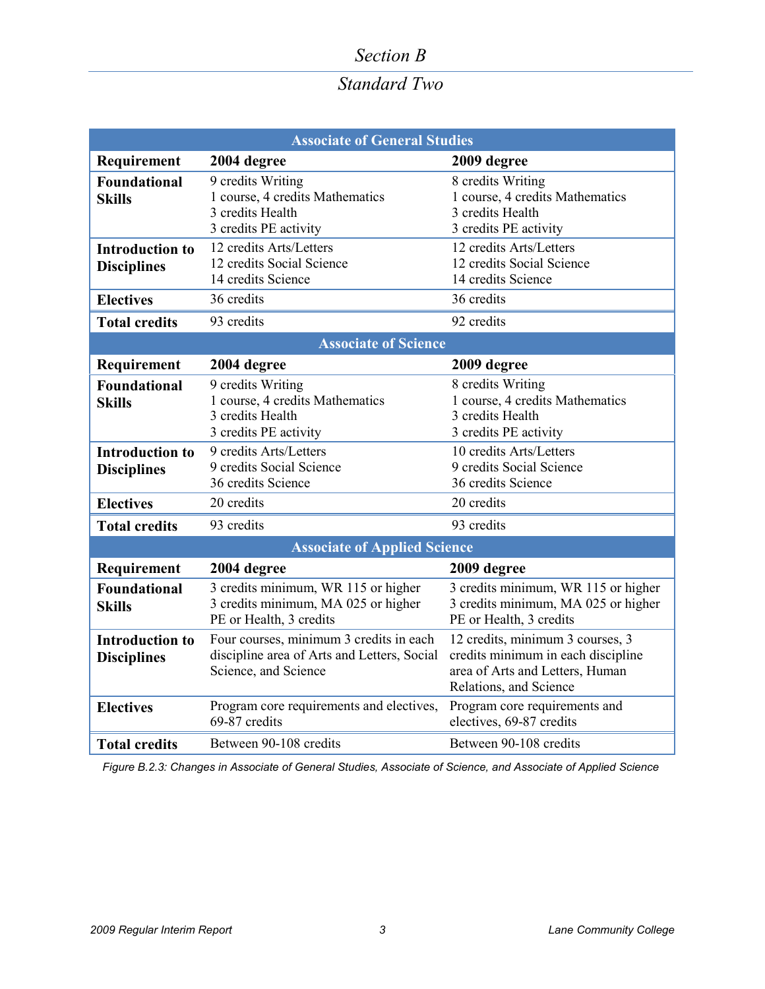# *Standard Two*

| <b>Associate of General Studies</b>          |                                                                                                                |                                                                                                                                     |  |  |  |
|----------------------------------------------|----------------------------------------------------------------------------------------------------------------|-------------------------------------------------------------------------------------------------------------------------------------|--|--|--|
| Requirement                                  | 2004 degree                                                                                                    | 2009 degree                                                                                                                         |  |  |  |
| <b>Foundational</b><br><b>Skills</b>         | 9 credits Writing<br>1 course, 4 credits Mathematics<br>3 credits Health<br>3 credits PE activity              | 8 credits Writing<br>1 course, 4 credits Mathematics<br>3 credits Health<br>3 credits PE activity                                   |  |  |  |
| <b>Introduction to</b><br><b>Disciplines</b> | 12 credits Arts/Letters<br>12 credits Social Science<br>14 credits Science<br>36 credits                       | 12 credits Arts/Letters<br>12 credits Social Science<br>14 credits Science<br>36 credits                                            |  |  |  |
| <b>Electives</b>                             |                                                                                                                |                                                                                                                                     |  |  |  |
| <b>Total credits</b>                         | 93 credits                                                                                                     | 92 credits                                                                                                                          |  |  |  |
| <b>Associate of Science</b>                  |                                                                                                                |                                                                                                                                     |  |  |  |
| Requirement                                  | 2004 degree                                                                                                    | 2009 degree                                                                                                                         |  |  |  |
| <b>Foundational</b><br><b>Skills</b>         | 9 credits Writing<br>1 course, 4 credits Mathematics<br>3 credits Health<br>3 credits PE activity              | 8 credits Writing<br>1 course, 4 credits Mathematics<br>3 credits Health<br>3 credits PE activity                                   |  |  |  |
| <b>Introduction to</b><br><b>Disciplines</b> | 9 credits Arts/Letters<br>9 credits Social Science<br>36 credits Science                                       | 10 credits Arts/Letters<br>9 credits Social Science<br>36 credits Science                                                           |  |  |  |
| <b>Electives</b>                             | 20 credits                                                                                                     | 20 credits                                                                                                                          |  |  |  |
| <b>Total credits</b>                         | 93 credits                                                                                                     | 93 credits                                                                                                                          |  |  |  |
| <b>Associate of Applied Science</b>          |                                                                                                                |                                                                                                                                     |  |  |  |
| Requirement                                  | 2004 degree                                                                                                    | 2009 degree                                                                                                                         |  |  |  |
| <b>Foundational</b><br><b>Skills</b>         | 3 credits minimum, WR 115 or higher<br>3 credits minimum, MA 025 or higher<br>PE or Health, 3 credits          | 3 credits minimum, WR 115 or higher<br>3 credits minimum, MA 025 or higher<br>PE or Health, 3 credits                               |  |  |  |
| <b>Introduction to</b><br><b>Disciplines</b> | Four courses, minimum 3 credits in each<br>discipline area of Arts and Letters, Social<br>Science, and Science | 12 credits, minimum 3 courses, 3<br>credits minimum in each discipline<br>area of Arts and Letters, Human<br>Relations, and Science |  |  |  |
| <b>Electives</b>                             | Program core requirements and electives,<br>69-87 credits                                                      | Program core requirements and<br>electives, 69-87 credits                                                                           |  |  |  |
| <b>Total credits</b>                         | Between 90-108 credits                                                                                         | Between 90-108 credits                                                                                                              |  |  |  |

*Figure B.2.3: Changes in Associate of General Studies, Associate of Science, and Associate of Applied Science*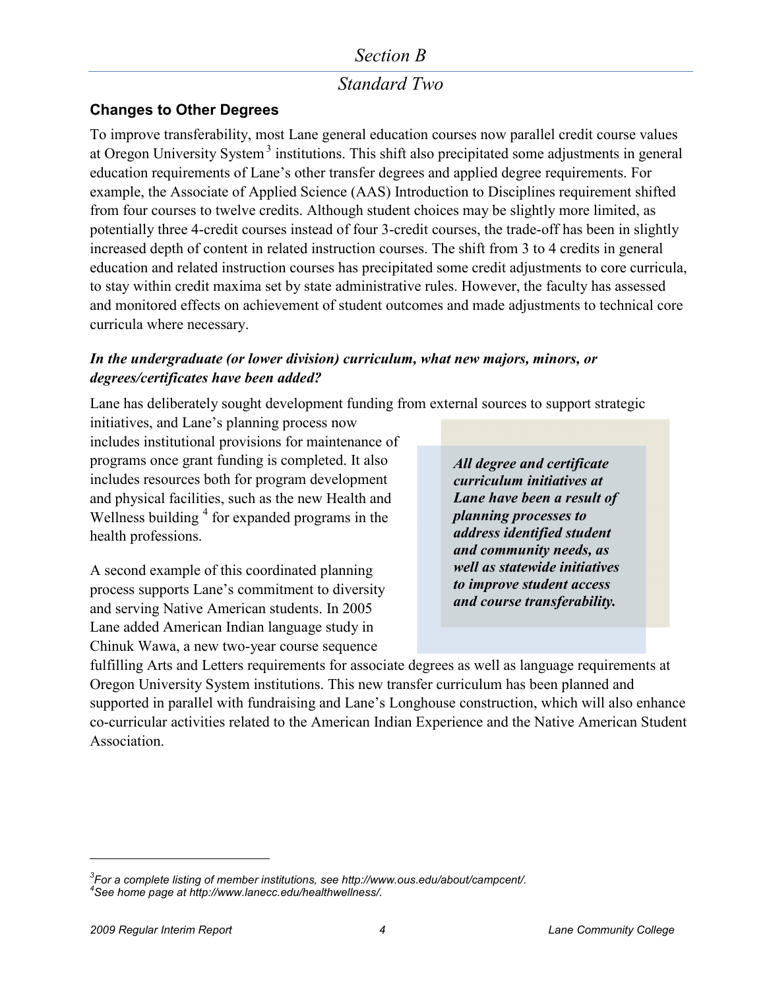## *Standard Two*

#### **Changes to Other Degrees**

To improve transferability, most Lane general education courses now parallel credit course values at Oregon University System<sup>[3](#page-3-0)</sup> institutions. This shift also precipitated some adjustments in general education requirements of Lane's other transfer degrees and applied degree requirements. For example, the Associate of Applied Science (AAS) Introduction to Disciplines requirement shifted from four courses to twelve credits. Although student choices may be slightly more limited, as potentially three 4-credit courses instead of four 3-credit courses, the trade-off has been in slightly increased depth of content in related instruction courses. The shift from 3 to 4 credits in general education and related instruction courses has precipitated some credit adjustments to core curricula, to stay within credit maxima set by state administrative rules. However, the faculty has assessed and monitored effects on achievement of student outcomes and made adjustments to technical core curricula where necessary.

#### *In the undergraduate (or lower division) curriculum, what new majors, minors, or degrees/certificates have been added?*

Lane has deliberately sought development funding from external sources to support strategic

initiatives, and Lane's planning process now includes institutional provisions for maintenance of programs once grant funding is completed. It also includes resources both for program development and physical facilities, such as the new Health and Wellness building  $4$  for expanded programs in the health professions.

A second example of this coordinated planning process supports Lane's commitment to diversity and serving Native American students. In 2005 Lane added American Indian language study in Chinuk Wawa, a new two-year course sequence

*All degree and certificate curriculum initiatives at Lane have been a result of planning processes to address identified student and community needs, as well as statewide initiatives to improve student access and course transferability.* 

fulfilling Arts and Letters requirements for associate degrees as well as language requirements at Oregon University System institutions. This new transfer curriculum has been planned and supported in parallel with fundraising and Lane's Longhouse construction, which will also enhance co-curricular activities related to the [American Indian Experience](http://www.lanecc.edu/collegecatalog/documents/SCSamericanindianexp.pdf) and the [Native American Student](http://www.lanecc.edu/nasa/index.htm)  [Association.](http://www.lanecc.edu/nasa/index.htm)

<span id="page-3-1"></span><span id="page-3-0"></span>*<sup>3</sup> For a complete listing of member institutions, se[e http://www.ous.edu/about/campcent/.](http://www.ous.edu/about/campcent/) 4 See home page a[t http://www.lanecc.edu/healthwellness/.](http://www.lanecc.edu/healthwellness/)*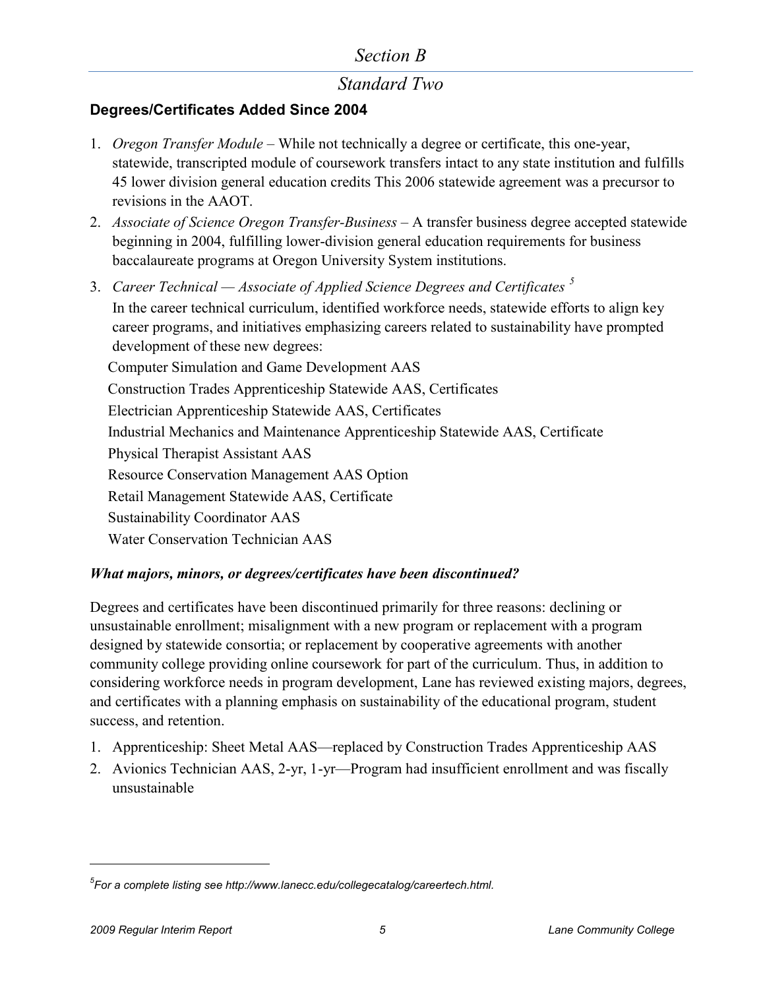## *Standard Two*

### **Degrees/Certificates Added Since 2004**

- 1. *[Oregon Transfer Module](http://www.lanecc.edu/collegecatalog/documents/oregontransfermodule.pdf)* While not technically a degree or certificate, this one-year, statewide, transcripted module of coursework transfers intact to any state institution and fulfills 45 lower division general education credits This 2006 statewide agreement was a precursor to revisions in the AAOT.
- 2. *[Associate of Science Oregon Transfer-Business](http://www.lanecc.edu/collegecatalog/documents/asotbus.pdf)* A transfer business degree accepted statewide beginning in 2004, fulfilling lower-division general education requirements for business baccalaureate programs at Oregon University System institutions.
- 3. *Career Technical — Associate of Applied Science Degrees and Certificates [5](#page-4-0)* In the career technical curriculum, identified workforce needs, statewide efforts to align key career programs, and initiatives emphasizing careers related to sustainability have prompted development of these new degrees: [Computer Simulation and Game Development AAS](http://www.lanecc.edu/collegecatalog/documents/CTcomputersimgamedev.pdf) [Construction Trades Apprenticeship Statewide AAS, Certificates](http://oregon.ctepathways.org/c/published/946/lcc_construction_trades_general_apprenticeship.html) [Electrician Apprenticeship Statewide AAS, Certificates](http://oregon.ctepathways.org/c/published/lcc_electrician_apprenticeship_technologies_aas_and_certificates) [Industrial Mechanics and Maintenance Apprenticeship Statewide AAS, Certificate](http://oregon.ctepathways.org/c/published/952/lcc_industrial_mechanics_maintenance_technology_apprenticeship.html) [Physical Therapist Assistant AAS](http://www.lanecc.edu/collegecatalog/documents/CTphystherapyasst.pdf) [Resource Conservation Management AAS Option](http://www.lanecc.edu/collegecatalog/documents/CTenergymgmttech.pdf) [Retail Management Statewide AAS, Certificate](http://www.lanecc.edu/collegecatalog/documents/CTretailmgmt.pdf) [Sustainability Coordinator AAS](http://www.lanecc.edu/collegecatalog/documents/CTsustainabilitycoord.pdf) [Water Conservation Technician](http://www.lanecc.edu/collegecatalog/documents/CTwaterconservation.pdf) [AAS](http://www.lanecc.edu/collegecatalog/documents/CTwaterconservation.pdf)

#### *What majors, minors, or degrees/certificates have been discontinued?*

Degrees and certificates have been discontinued primarily for three reasons: declining or unsustainable enrollment; misalignment with a new program or replacement with a program designed by statewide consortia; or replacement by cooperative agreements with another community college providing online coursework for part of the curriculum. Thus, in addition to considering workforce needs in program development, Lane has reviewed existing majors, degrees, and certificates with a planning emphasis on sustainability of the educational program, student success, and retention.

- 1. Apprenticeship: Sheet Metal AAS—replaced by Construction Trades Apprenticeship AAS
- 2. Avionics Technician AAS, 2-yr, 1-yr—Program had insufficient enrollment and was fiscally unsustainable

<span id="page-4-0"></span>*<sup>5</sup> For a complete listing se[e http://www.lanecc.edu/collegecatalog/careertech.html.](http://www.lanecc.edu/collegecatalog/careertech.html)*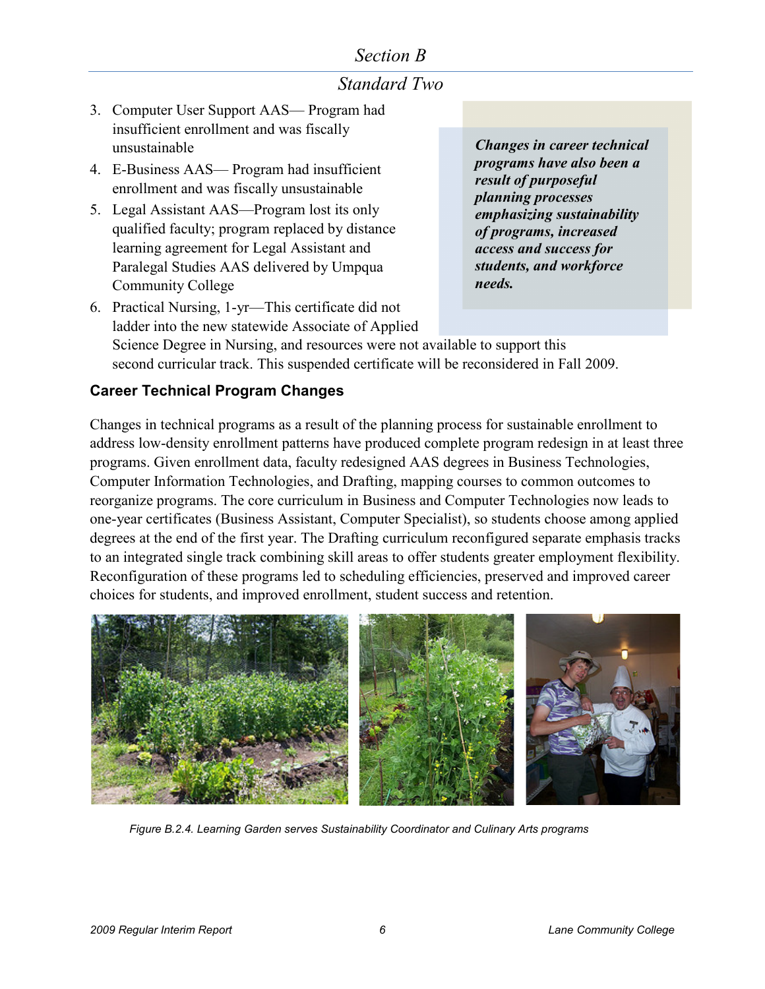## *Standard Two*

- 3. Computer User Support AAS— Program had insufficient enrollment and was fiscally unsustainable
- 4. E-Business AAS— Program had insufficient enrollment and was fiscally unsustainable
- 5. Legal Assistant AAS—Program lost its only qualified faculty; program replaced by distance learning agreement for [Legal Assistant and](http://www.lanecc.edu/collegecatalog/documents/SCSlegalasstparalegal.pdf)  [Paralegal Studies](http://www.lanecc.edu/collegecatalog/documents/SCSlegalasstparalegal.pdf) AAS delivered by Umpqua Community College

*Changes in career technical programs have also been a result of purposeful planning processes emphasizing sustainability of programs, increased access and success for students, and workforce needs.*

6. Practical Nursing, 1-yr—This certificate did not ladder into the new statewide Associate of Applied Science Degree in Nursing, and resources were not available to support this second curricular track. This suspended certificate will be reconsidered in Fall 2009.

#### **Career Technical Program Changes**

Changes in technical programs as a result of the planning process for sustainable enrollment to address low-density enrollment patterns have produced complete program redesign in at least three programs. Given enrollment data, faculty redesigned AAS degrees in [Business Technologies,](http://www.lanecc.edu/business/programs.html) [Computer Information Technologies,](http://www.lanecc.edu/cit/programs.htm) and [Drafting,](http://lanecc.edu/collegecatalog/documents/CTdrafting.pdf) mapping courses to common outcomes to reorganize programs. The core curriculum in Business and Computer Technologies now leads to one-year certificates [\(Business Assistant,](http://www.lanecc.edu/collegecatalog/documents/CTbusinessasst.pdf) [Computer Specialist\)](http://www.lanecc.edu/collegecatalog/documents/CTcomputerspecialist.pdf), so students choose among applied degrees at the end of the first year. The Drafting curriculum reconfigured separate emphasis tracks to an integrated single track combining skill areas to offer students greater employment flexibility. Reconfiguration of these programs led to scheduling efficiencies, preserved and improved career choices for students, and improved enrollment, student success and retention.



*Figure B.2.4. Learning Garden serves Sustainability Coordinator and Culinary Arts programs*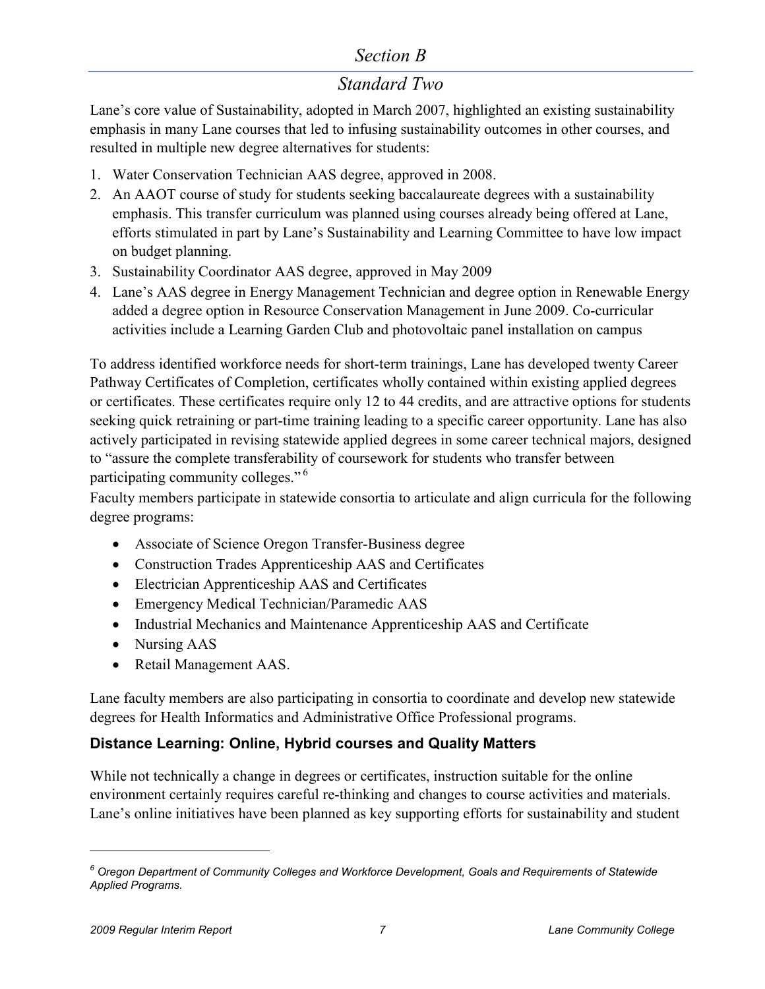## *Standard Two*

Lane's core value of Sustainability, adopted in March 2007, highlighted an existing sustainability emphasis in many Lane courses that led to [infusing sustainability](http://www.lanecc.edu/sustainability/s_infusion.htm) outcomes in other courses, and resulted in multiple new degree alternatives for students:

- 1. Water Conservation Technician AAS degree, approved in 2008.
- 2. An AAOT course of study for students seeking baccalaureate degrees with a sustainability emphasis. This transfer curriculum was planned using courses already being offered at Lane, efforts stimulated in part by Lane's [Sustainability and Learning Committee](http://www.lanecc.edu/sustainability/s_learning.html) to have low impact on budget planning.
- 3. Sustainability Coordinator AAS degree, approved in May 2009
- 4. Lane's AAS degree in Energy Management Technician and degree option in Renewable Energy added a degree option in Resource Conservation Management in June 2009. Co-curricular activities include a [Learning Garden Club](http://www.lanecc.edu/sustainability/lgc.html) and photovoltaic panel installation on campus

To address identified workforce needs for short-term trainings, Lane has developed twenty [Career](http://www.lanecc.edu/pathways/)  [Pathway Certificates of Completion,](http://www.lanecc.edu/pathways/) certificates wholly contained within existing applied degrees or certificates. These certificates require only 12 to 44 credits, and are attractive options for students seeking quick retraining or part-time training leading to a specific career opportunity. Lane has also actively participated in revising statewide applied degrees in some career technical majors, designed to "assure the complete transferability of coursework for students who transfer between participating community colleges." [6](#page-6-0)

Faculty members participate in statewide consortia to articulate and align curricula for the following degree programs:

- Associate of Science Oregon Transfer-Business degree
- Construction Trades Apprenticeship AAS and Certificates
- Electrician Apprenticeship AAS and Certificates
- Emergency Medical Technician/Paramedic AAS
- Industrial Mechanics and Maintenance Apprenticeship AAS and Certificate
- Nursing AAS
- Retail Management AAS.

Lane faculty members are also participating in consortia to coordinate and develop new statewide degrees for Health Informatics and Administrative Office Professional programs.

#### **Distance Learning: Online, Hybrid courses and Quality Matters**

While not technically a change in degrees or certificates, instruction suitable for the online environment certainly requires careful re-thinking and changes to course activities and materials. Lane's online initiatives have been planned as key supporting efforts for sustainability and student

<span id="page-6-0"></span>*<sup>6</sup> Oregon Department of Community Colleges and Workforce Development[, Goals and Requirements of Statewide](http://www.odccwd.state.or.us/prgapproval/edocs/prgapprovalupdate/swpgmgolasandreq2010.pdf)  [Applied Programs.](http://www.odccwd.state.or.us/prgapproval/edocs/prgapprovalupdate/swpgmgolasandreq2010.pdf)*